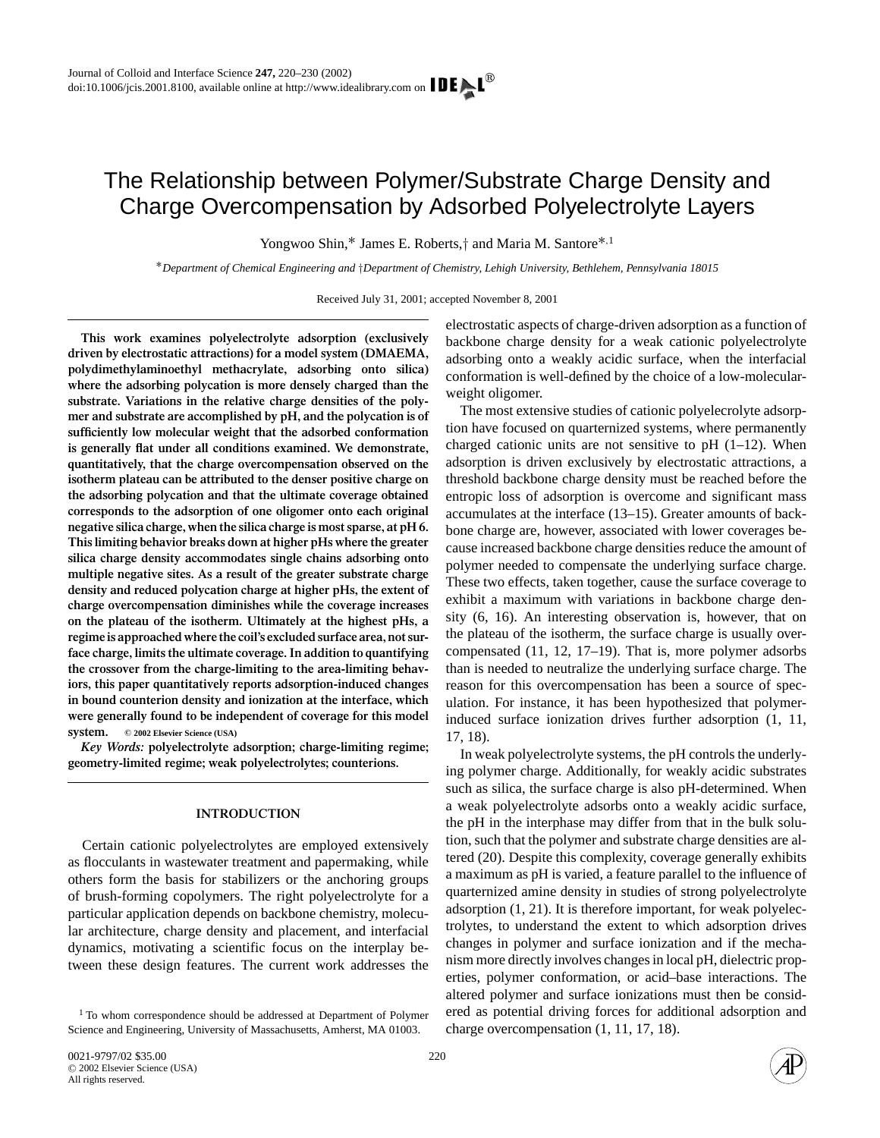# The Relationship between Polymer/Substrate Charge Density and Charge Overcompensation by Adsorbed Polyelectrolyte Layers

Yongwoo Shin,<sup>\*</sup> James E. Roberts,† and Maria M. Santore<sup>∗, 1</sup>

∗*Department of Chemical Engineering and* †*Department of Chemistry, Lehigh University, Bethlehem, Pennsylvania 18015*

Received July 31, 2001; accepted November 8, 2001

**This work examines polyelectrolyte adsorption (exclusively driven by electrostatic attractions) for a model system (DMAEMA, polydimethylaminoethyl methacrylate, adsorbing onto silica) where the adsorbing polycation is more densely charged than the substrate. Variations in the relative charge densities of the polymer and substrate are accomplished by pH, and the polycation is of sufficiently low molecular weight that the adsorbed conformation is generally flat under all conditions examined. We demonstrate, quantitatively, that the charge overcompensation observed on the isotherm plateau can be attributed to the denser positive charge on the adsorbing polycation and that the ultimate coverage obtained corresponds to the adsorption of one oligomer onto each original negative silica charge, when the silica charge is most sparse, at pH 6. This limiting behavior breaks down at higher pHs where the greater silica charge density accommodates single chains adsorbing onto multiple negative sites. As a result of the greater substrate charge density and reduced polycation charge at higher pHs, the extent of charge overcompensation diminishes while the coverage increases on the plateau of the isotherm. Ultimately at the highest pHs, a regime is approached where the coil's excluded surface area, not surface charge, limits the ultimate coverage. In addition to quantifying the crossover from the charge-limiting to the area-limiting behaviors, this paper quantitatively reports adsorption-induced changes in bound counterion density and ionization at the interface, which were generally found to be independent of coverage for this model system. <sup>C</sup> 2002 Elsevier Science (USA)**

*Key Words:* **polyelectrolyte adsorption; charge-limiting regime; geometry-limited regime; weak polyelectrolytes; counterions.**

## **INTRODUCTION**

Certain cationic polyelectrolytes are employed extensively as flocculants in wastewater treatment and papermaking, while others form the basis for stabilizers or the anchoring groups of brush-forming copolymers. The right polyelectrolyte for a particular application depends on backbone chemistry, molecular architecture, charge density and placement, and interfacial dynamics, motivating a scientific focus on the interplay between these design features. The current work addresses the

<sup>1</sup> To whom correspondence should be addressed at Department of Polymer Science and Engineering, University of Massachusetts, Amherst, MA 01003.

electrostatic aspects of charge-driven adsorption as a function of backbone charge density for a weak cationic polyelectrolyte adsorbing onto a weakly acidic surface, when the interfacial conformation is well-defined by the choice of a low-molecularweight oligomer.

The most extensive studies of cationic polyelecrolyte adsorption have focused on quarternized systems, where permanently charged cationic units are not sensitive to pH  $(1-12)$ . When adsorption is driven exclusively by electrostatic attractions, a threshold backbone charge density must be reached before the entropic loss of adsorption is overcome and significant mass accumulates at the interface (13–15). Greater amounts of backbone charge are, however, associated with lower coverages because increased backbone charge densities reduce the amount of polymer needed to compensate the underlying surface charge. These two effects, taken together, cause the surface coverage to exhibit a maximum with variations in backbone charge density (6, 16). An interesting observation is, however, that on the plateau of the isotherm, the surface charge is usually overcompensated (11, 12, 17–19). That is, more polymer adsorbs than is needed to neutralize the underlying surface charge. The reason for this overcompensation has been a source of speculation. For instance, it has been hypothesized that polymerinduced surface ionization drives further adsorption (1, 11, 17, 18).

In weak polyelectrolyte systems, the pH controls the underlying polymer charge. Additionally, for weakly acidic substrates such as silica, the surface charge is also pH-determined. When a weak polyelectrolyte adsorbs onto a weakly acidic surface, the pH in the interphase may differ from that in the bulk solution, such that the polymer and substrate charge densities are altered (20). Despite this complexity, coverage generally exhibits a maximum as pH is varied, a feature parallel to the influence of quarternized amine density in studies of strong polyelectrolyte adsorption (1, 21). It is therefore important, for weak polyelectrolytes, to understand the extent to which adsorption drives changes in polymer and surface ionization and if the mechanism more directly involves changes in local pH, dielectric properties, polymer conformation, or acid–base interactions. The altered polymer and surface ionizations must then be considered as potential driving forces for additional adsorption and charge overcompensation (1, 11, 17, 18).

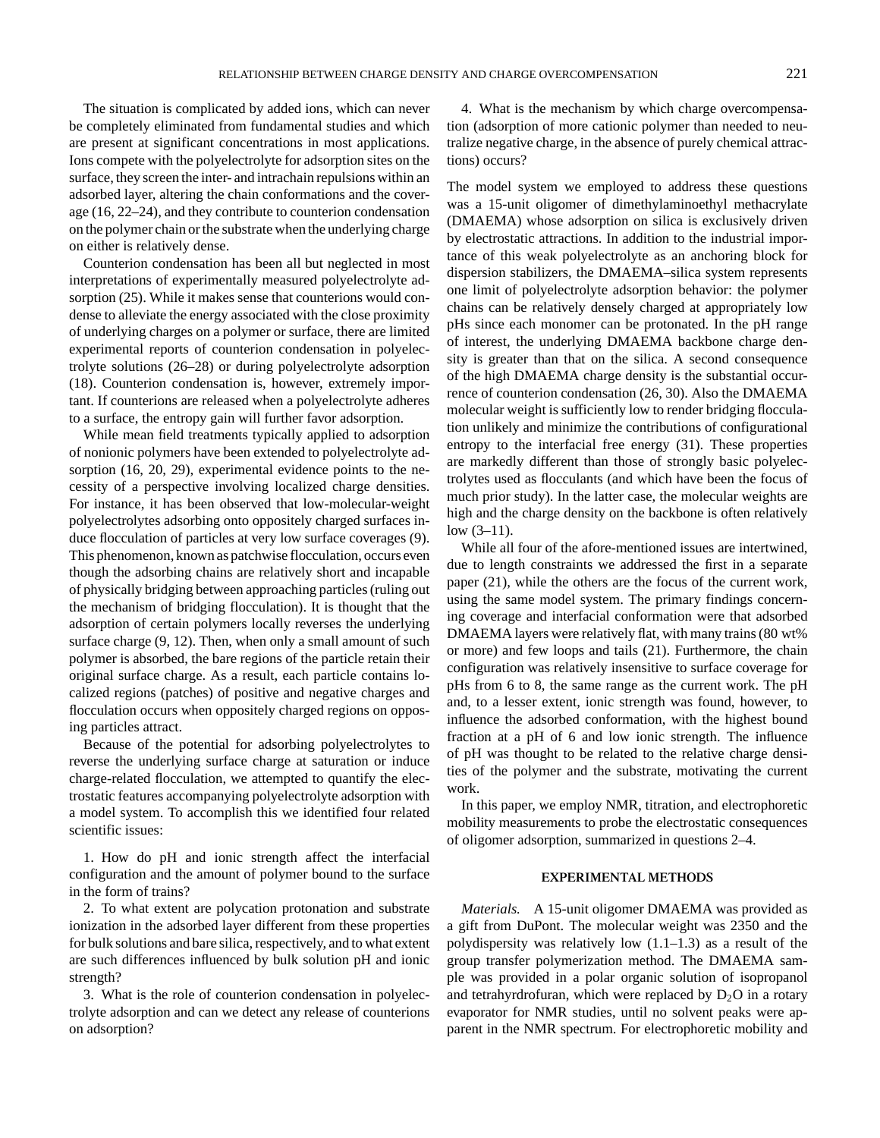The situation is complicated by added ions, which can never be completely eliminated from fundamental studies and which are present at significant concentrations in most applications. Ions compete with the polyelectrolyte for adsorption sites on the surface, they screen the inter- and intrachain repulsions within an adsorbed layer, altering the chain conformations and the coverage (16, 22–24), and they contribute to counterion condensation on the polymer chain or the substrate when the underlying charge on either is relatively dense.

Counterion condensation has been all but neglected in most interpretations of experimentally measured polyelectrolyte adsorption (25). While it makes sense that counterions would condense to alleviate the energy associated with the close proximity of underlying charges on a polymer or surface, there are limited experimental reports of counterion condensation in polyelectrolyte solutions (26–28) or during polyelectrolyte adsorption (18). Counterion condensation is, however, extremely important. If counterions are released when a polyelectrolyte adheres to a surface, the entropy gain will further favor adsorption.

While mean field treatments typically applied to adsorption of nonionic polymers have been extended to polyelectrolyte adsorption (16, 20, 29), experimental evidence points to the necessity of a perspective involving localized charge densities. For instance, it has been observed that low-molecular-weight polyelectrolytes adsorbing onto oppositely charged surfaces induce flocculation of particles at very low surface coverages (9). This phenomenon, known as patchwise flocculation, occurs even though the adsorbing chains are relatively short and incapable of physically bridging between approaching particles (ruling out the mechanism of bridging flocculation). It is thought that the adsorption of certain polymers locally reverses the underlying surface charge (9, 12). Then, when only a small amount of such polymer is absorbed, the bare regions of the particle retain their original surface charge. As a result, each particle contains localized regions (patches) of positive and negative charges and flocculation occurs when oppositely charged regions on opposing particles attract.

Because of the potential for adsorbing polyelectrolytes to reverse the underlying surface charge at saturation or induce charge-related flocculation, we attempted to quantify the electrostatic features accompanying polyelectrolyte adsorption with a model system. To accomplish this we identified four related scientific issues:

1. How do pH and ionic strength affect the interfacial configuration and the amount of polymer bound to the surface in the form of trains?

2. To what extent are polycation protonation and substrate ionization in the adsorbed layer different from these properties for bulk solutions and bare silica, respectively, and to what extent are such differences influenced by bulk solution pH and ionic strength?

3. What is the role of counterion condensation in polyelectrolyte adsorption and can we detect any release of counterions on adsorption?

4. What is the mechanism by which charge overcompensation (adsorption of more cationic polymer than needed to neutralize negative charge, in the absence of purely chemical attractions) occurs?

The model system we employed to address these questions was a 15-unit oligomer of dimethylaminoethyl methacrylate (DMAEMA) whose adsorption on silica is exclusively driven by electrostatic attractions. In addition to the industrial importance of this weak polyelectrolyte as an anchoring block for dispersion stabilizers, the DMAEMA–silica system represents one limit of polyelectrolyte adsorption behavior: the polymer chains can be relatively densely charged at appropriately low pHs since each monomer can be protonated. In the pH range of interest, the underlying DMAEMA backbone charge density is greater than that on the silica. A second consequence of the high DMAEMA charge density is the substantial occurrence of counterion condensation (26, 30). Also the DMAEMA molecular weight is sufficiently low to render bridging flocculation unlikely and minimize the contributions of configurational entropy to the interfacial free energy (31). These properties are markedly different than those of strongly basic polyelectrolytes used as flocculants (and which have been the focus of much prior study). In the latter case, the molecular weights are high and the charge density on the backbone is often relatively low  $(3-11)$ .

While all four of the afore-mentioned issues are intertwined, due to length constraints we addressed the first in a separate paper (21), while the others are the focus of the current work, using the same model system. The primary findings concerning coverage and interfacial conformation were that adsorbed DMAEMA layers were relatively flat, with many trains (80 wt% or more) and few loops and tails (21). Furthermore, the chain configuration was relatively insensitive to surface coverage for pHs from 6 to 8, the same range as the current work. The pH and, to a lesser extent, ionic strength was found, however, to influence the adsorbed conformation, with the highest bound fraction at a pH of 6 and low ionic strength. The influence of pH was thought to be related to the relative charge densities of the polymer and the substrate, motivating the current work.

In this paper, we employ NMR, titration, and electrophoretic mobility measurements to probe the electrostatic consequences of oligomer adsorption, summarized in questions 2–4.

# **EXPERIMENTAL METHODS**

*Materials.* A 15-unit oligomer DMAEMA was provided as a gift from DuPont. The molecular weight was 2350 and the polydispersity was relatively low (1.1–1.3) as a result of the group transfer polymerization method. The DMAEMA sample was provided in a polar organic solution of isopropanol and tetrahyrdrofuran, which were replaced by  $D_2O$  in a rotary evaporator for NMR studies, until no solvent peaks were apparent in the NMR spectrum. For electrophoretic mobility and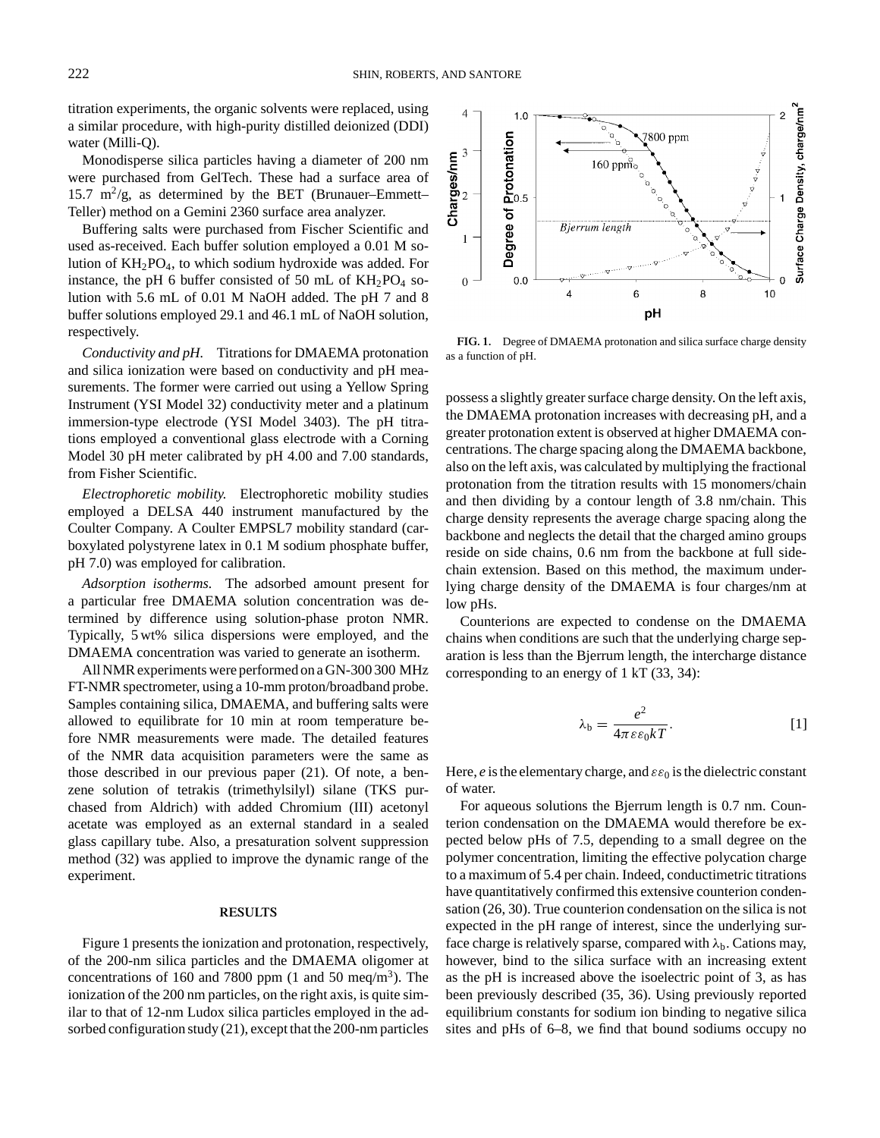titration experiments, the organic solvents were replaced, using a similar procedure, with high-purity distilled deionized (DDI) water (Milli-Q).

Monodisperse silica particles having a diameter of 200 nm were purchased from GelTech. These had a surface area of 15.7 m<sup>2</sup>/g, as determined by the BET (Brunauer–Emmett– Teller) method on a Gemini 2360 surface area analyzer.

Buffering salts were purchased from Fischer Scientific and used as-received. Each buffer solution employed a 0.01 M solution of  $KH_2PO_4$ , to which sodium hydroxide was added. For instance, the pH 6 buffer consisted of 50 mL of  $KH_2PO_4$  solution with 5.6 mL of 0.01 M NaOH added. The pH 7 and 8 buffer solutions employed 29.1 and 46.1 mL of NaOH solution, respectively.

*Conductivity and pH.* Titrations for DMAEMA protonation and silica ionization were based on conductivity and pH measurements. The former were carried out using a Yellow Spring Instrument (YSI Model 32) conductivity meter and a platinum immersion-type electrode (YSI Model 3403). The pH titrations employed a conventional glass electrode with a Corning Model 30 pH meter calibrated by pH 4.00 and 7.00 standards, from Fisher Scientific.

*Electrophoretic mobility.* Electrophoretic mobility studies employed a DELSA 440 instrument manufactured by the Coulter Company. A Coulter EMPSL7 mobility standard (carboxylated polystyrene latex in 0.1 M sodium phosphate buffer, pH 7.0) was employed for calibration.

*Adsorption isotherms.* The adsorbed amount present for a particular free DMAEMA solution concentration was determined by difference using solution-phase proton NMR. Typically, 5 wt% silica dispersions were employed, and the DMAEMA concentration was varied to generate an isotherm.

All NMR experiments were performed on a GN-300 300 MHz FT-NMR spectrometer, using a 10-mm proton/broadband probe. Samples containing silica, DMAEMA, and buffering salts were allowed to equilibrate for 10 min at room temperature before NMR measurements were made. The detailed features of the NMR data acquisition parameters were the same as those described in our previous paper (21). Of note, a benzene solution of tetrakis (trimethylsilyl) silane (TKS purchased from Aldrich) with added Chromium (III) acetonyl acetate was employed as an external standard in a sealed glass capillary tube. Also, a presaturation solvent suppression method (32) was applied to improve the dynamic range of the experiment.

# **RESULTS**

Figure 1 presents the ionization and protonation, respectively, of the 200-nm silica particles and the DMAEMA oligomer at concentrations of 160 and 7800 ppm  $(1 \text{ and } 50 \text{ meq/m}^3)$ . The ionization of the 200 nm particles, on the right axis, is quite similar to that of 12-nm Ludox silica particles employed in the adsorbed configuration study (21), except that the 200-nm particles



**FIG. 1.** Degree of DMAEMA protonation and silica surface charge density as a function of pH.

possess a slightly greater surface charge density. On the left axis, the DMAEMA protonation increases with decreasing pH, and a greater protonation extent is observed at higher DMAEMA concentrations. The charge spacing along the DMAEMA backbone, also on the left axis, was calculated by multiplying the fractional protonation from the titration results with 15 monomers/chain and then dividing by a contour length of 3.8 nm/chain. This charge density represents the average charge spacing along the backbone and neglects the detail that the charged amino groups reside on side chains, 0.6 nm from the backbone at full sidechain extension. Based on this method, the maximum underlying charge density of the DMAEMA is four charges/nm at low pHs.

Counterions are expected to condense on the DMAEMA chains when conditions are such that the underlying charge separation is less than the Bjerrum length, the intercharge distance corresponding to an energy of 1 kT (33, 34):

$$
\lambda_{\rm b} = \frac{e^2}{4\pi\,\varepsilon\varepsilon_0 kT}.\tag{1}
$$

Here, *e* is the elementary charge, and  $\varepsilon \varepsilon_0$  is the dielectric constant of water.

For aqueous solutions the Bjerrum length is 0.7 nm. Counterion condensation on the DMAEMA would therefore be expected below pHs of 7.5, depending to a small degree on the polymer concentration, limiting the effective polycation charge to a maximum of 5.4 per chain. Indeed, conductimetric titrations have quantitatively confirmed this extensive counterion condensation (26, 30). True counterion condensation on the silica is not expected in the pH range of interest, since the underlying surface charge is relatively sparse, compared with  $\lambda_b$ . Cations may, however, bind to the silica surface with an increasing extent as the pH is increased above the isoelectric point of 3, as has been previously described (35, 36). Using previously reported equilibrium constants for sodium ion binding to negative silica sites and pHs of 6–8, we find that bound sodiums occupy no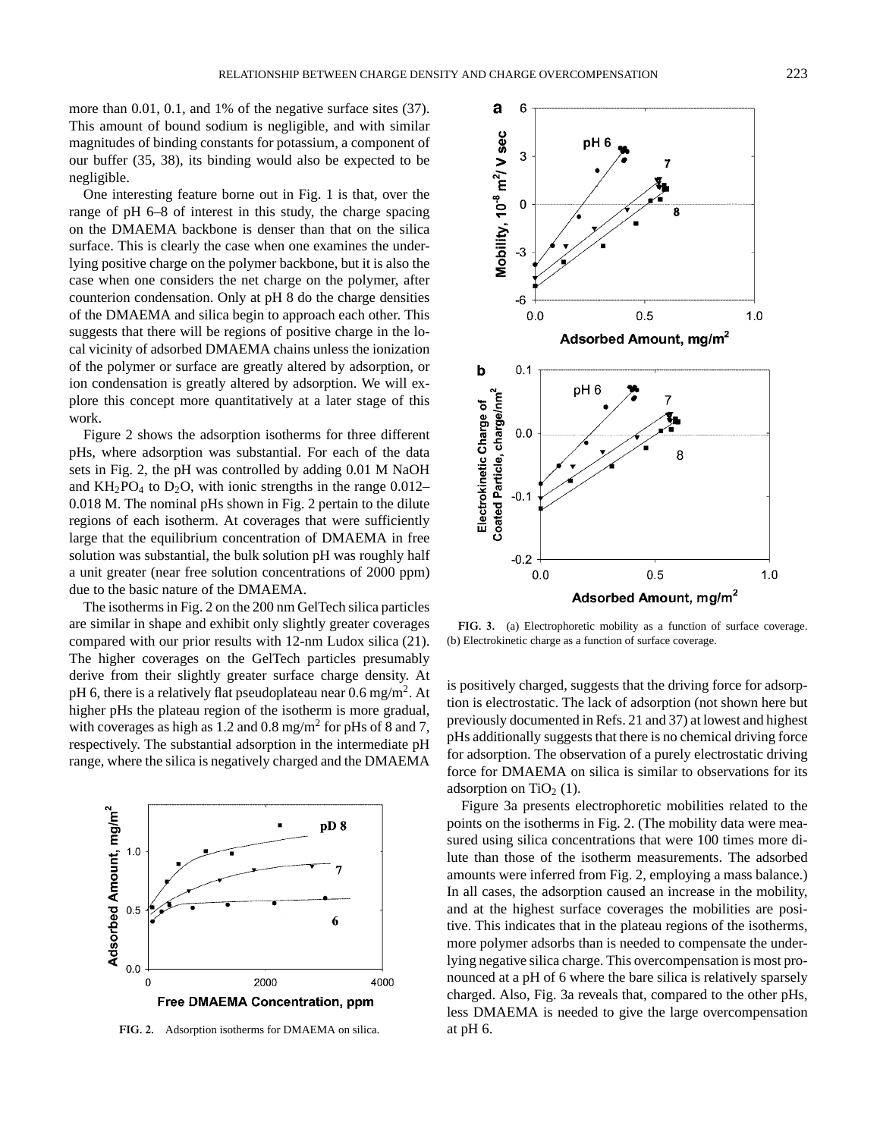more than 0.01, 0.1, and 1% of the negative surface sites (37). This amount of bound sodium is negligible, and with similar magnitudes of binding constants for potassium, a component of our buffer (35, 38), its binding would also be expected to be negligible.

One interesting feature borne out in Fig. 1 is that, over the range of pH 6–8 of interest in this study, the charge spacing on the DMAEMA backbone is denser than that on the silica surface. This is clearly the case when one examines the underlying positive charge on the polymer backbone, but it is also the case when one considers the net charge on the polymer, after counterion condensation. Only at pH 8 do the charge densities of the DMAEMA and silica begin to approach each other. This suggests that there will be regions of positive charge in the local vicinity of adsorbed DMAEMA chains unless the ionization of the polymer or surface are greatly altered by adsorption, or ion condensation is greatly altered by adsorption. We will explore this concept more quantitatively at a later stage of this work.

Figure 2 shows the adsorption isotherms for three different pHs, where adsorption was substantial. For each of the data sets in Fig. 2, the pH was controlled by adding 0.01 M NaOH and  $KH_2PO_4$  to  $D_2O$ , with ionic strengths in the range 0.012– 0.018 M. The nominal pHs shown in Fig. 2 pertain to the dilute regions of each isotherm. At coverages that were sufficiently large that the equilibrium concentration of DMAEMA in free solution was substantial, the bulk solution pH was roughly half a unit greater (near free solution concentrations of 2000 ppm) due to the basic nature of the DMAEMA.

The isotherms in Fig. 2 on the 200 nm GelTech silica particles are similar in shape and exhibit only slightly greater coverages compared with our prior results with 12-nm Ludox silica (21). The higher coverages on the GelTech particles presumably derive from their slightly greater surface charge density. At pH 6, there is a relatively flat pseudoplateau near  $0.6 \text{ mg/m}^2$ . At higher pHs the plateau region of the isotherm is more gradual, with coverages as high as 1.2 and 0.8 mg/m<sup>2</sup> for pHs of 8 and 7, respectively. The substantial adsorption in the intermediate pH range, where the silica is negatively charged and the DMAEMA



**FIG. 2.** Adsorption isotherms for DMAEMA on silica.



**FIG. 3.** (a) Electrophoretic mobility as a function of surface coverage. (b) Electrokinetic charge as a function of surface coverage.

is positively charged, suggests that the driving force for adsorption is electrostatic. The lack of adsorption (not shown here but previously documented in Refs. 21 and 37) at lowest and highest pHs additionally suggests that there is no chemical driving force for adsorption. The observation of a purely electrostatic driving force for DMAEMA on silica is similar to observations for its adsorption on TiO<sub>2</sub>  $(1)$ .

Figure 3a presents electrophoretic mobilities related to the points on the isotherms in Fig. 2. (The mobility data were measured using silica concentrations that were 100 times more dilute than those of the isotherm measurements. The adsorbed amounts were inferred from Fig. 2, employing a mass balance.) In all cases, the adsorption caused an increase in the mobility, and at the highest surface coverages the mobilities are positive. This indicates that in the plateau regions of the isotherms, more polymer adsorbs than is needed to compensate the underlying negative silica charge. This overcompensation is most pronounced at a pH of 6 where the bare silica is relatively sparsely charged. Also, Fig. 3a reveals that, compared to the other pHs, less DMAEMA is needed to give the large overcompensation at pH 6.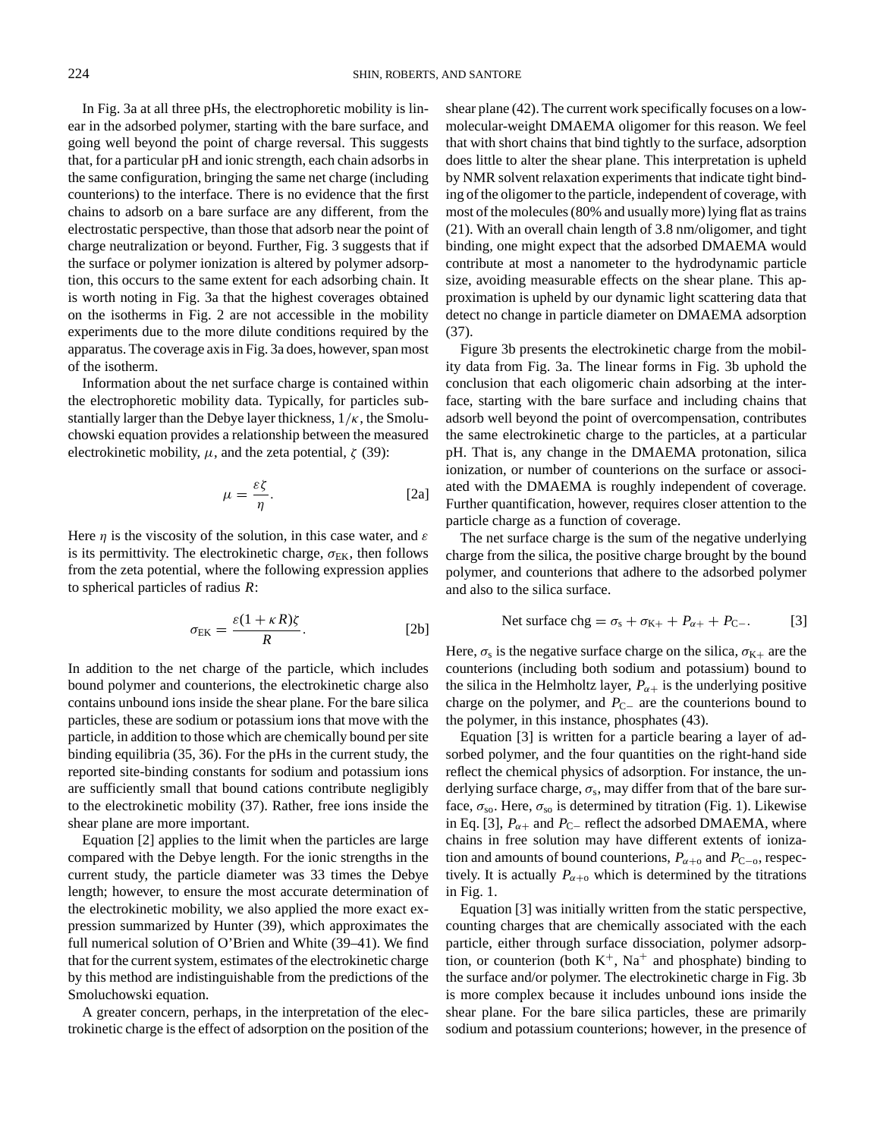In Fig. 3a at all three pHs, the electrophoretic mobility is linear in the adsorbed polymer, starting with the bare surface, and going well beyond the point of charge reversal. This suggests that, for a particular pH and ionic strength, each chain adsorbs in the same configuration, bringing the same net charge (including counterions) to the interface. There is no evidence that the first chains to adsorb on a bare surface are any different, from the electrostatic perspective, than those that adsorb near the point of charge neutralization or beyond. Further, Fig. 3 suggests that if the surface or polymer ionization is altered by polymer adsorption, this occurs to the same extent for each adsorbing chain. It is worth noting in Fig. 3a that the highest coverages obtained on the isotherms in Fig. 2 are not accessible in the mobility experiments due to the more dilute conditions required by the apparatus. The coverage axis in Fig. 3a does, however, span most of the isotherm.

Information about the net surface charge is contained within the electrophoretic mobility data. Typically, for particles substantially larger than the Debye layer thickness,  $1/\kappa$ , the Smoluchowski equation provides a relationship between the measured electrokinetic mobility,  $\mu$ , and the zeta potential,  $\zeta$  (39):

$$
\mu = \frac{\varepsilon \zeta}{\eta}.
$$
 [2a]

Here  $\eta$  is the viscosity of the solution, in this case water, and  $\varepsilon$ is its permittivity. The electrokinetic charge,  $\sigma_{EK}$ , then follows from the zeta potential, where the following expression applies to spherical particles of radius *R*:

$$
\sigma_{\rm{EK}} = \frac{\varepsilon (1 + \kappa R)\zeta}{R}.
$$
 [2b]

In addition to the net charge of the particle, which includes bound polymer and counterions, the electrokinetic charge also contains unbound ions inside the shear plane. For the bare silica particles, these are sodium or potassium ions that move with the particle, in addition to those which are chemically bound per site binding equilibria (35, 36). For the pHs in the current study, the reported site-binding constants for sodium and potassium ions are sufficiently small that bound cations contribute negligibly to the electrokinetic mobility (37). Rather, free ions inside the shear plane are more important.

Equation [2] applies to the limit when the particles are large compared with the Debye length. For the ionic strengths in the current study, the particle diameter was 33 times the Debye length; however, to ensure the most accurate determination of the electrokinetic mobility, we also applied the more exact expression summarized by Hunter (39), which approximates the full numerical solution of O'Brien and White (39–41). We find that for the current system, estimates of the electrokinetic charge by this method are indistinguishable from the predictions of the Smoluchowski equation.

A greater concern, perhaps, in the interpretation of the electrokinetic charge is the effect of adsorption on the position of the shear plane (42). The current work specifically focuses on a lowmolecular-weight DMAEMA oligomer for this reason. We feel that with short chains that bind tightly to the surface, adsorption does little to alter the shear plane. This interpretation is upheld by NMR solvent relaxation experiments that indicate tight binding of the oligomer to the particle, independent of coverage, with most of the molecules (80% and usually more) lying flat as trains (21). With an overall chain length of 3.8 nm/oligomer, and tight binding, one might expect that the adsorbed DMAEMA would contribute at most a nanometer to the hydrodynamic particle size, avoiding measurable effects on the shear plane. This approximation is upheld by our dynamic light scattering data that detect no change in particle diameter on DMAEMA adsorption (37).

Figure 3b presents the electrokinetic charge from the mobility data from Fig. 3a. The linear forms in Fig. 3b uphold the conclusion that each oligomeric chain adsorbing at the interface, starting with the bare surface and including chains that adsorb well beyond the point of overcompensation, contributes the same electrokinetic charge to the particles, at a particular pH. That is, any change in the DMAEMA protonation, silica ionization, or number of counterions on the surface or associated with the DMAEMA is roughly independent of coverage. Further quantification, however, requires closer attention to the particle charge as a function of coverage.

The net surface charge is the sum of the negative underlying charge from the silica, the positive charge brought by the bound polymer, and counterions that adhere to the adsorbed polymer and also to the silica surface.

$$
\text{Net surface chg} = \sigma_{\rm s} + \sigma_{\rm K+} + P_{\alpha+} + P_{\rm C-}.\tag{3}
$$

Here,  $\sigma_s$  is the negative surface charge on the silica,  $\sigma_{K+}$  are the counterions (including both sodium and potassium) bound to the silica in the Helmholtz layer,  $P_{\alpha+}$  is the underlying positive charge on the polymer, and *P*<sub>C−</sub> are the counterions bound to the polymer, in this instance, phosphates (43).

Equation [3] is written for a particle bearing a layer of adsorbed polymer, and the four quantities on the right-hand side reflect the chemical physics of adsorption. For instance, the underlying surface charge,  $\sigma_s$ , may differ from that of the bare surface,  $\sigma_{so}$ . Here,  $\sigma_{so}$  is determined by titration (Fig. 1). Likewise in Eq. [3],  $P_{\alpha+}$  and  $P_{\alpha-}$  reflect the adsorbed DMAEMA, where chains in free solution may have different extents of ionization and amounts of bound counterions,  $P_{\alpha+o}$  and  $P_{\alpha-o}$ , respectively. It is actually  $P_{\alpha+0}$  which is determined by the titrations in Fig. 1.

Equation [3] was initially written from the static perspective, counting charges that are chemically associated with the each particle, either through surface dissociation, polymer adsorption, or counterion (both  $K^+$ , Na<sup>+</sup> and phosphate) binding to the surface and/or polymer. The electrokinetic charge in Fig. 3b is more complex because it includes unbound ions inside the shear plane. For the bare silica particles, these are primarily sodium and potassium counterions; however, in the presence of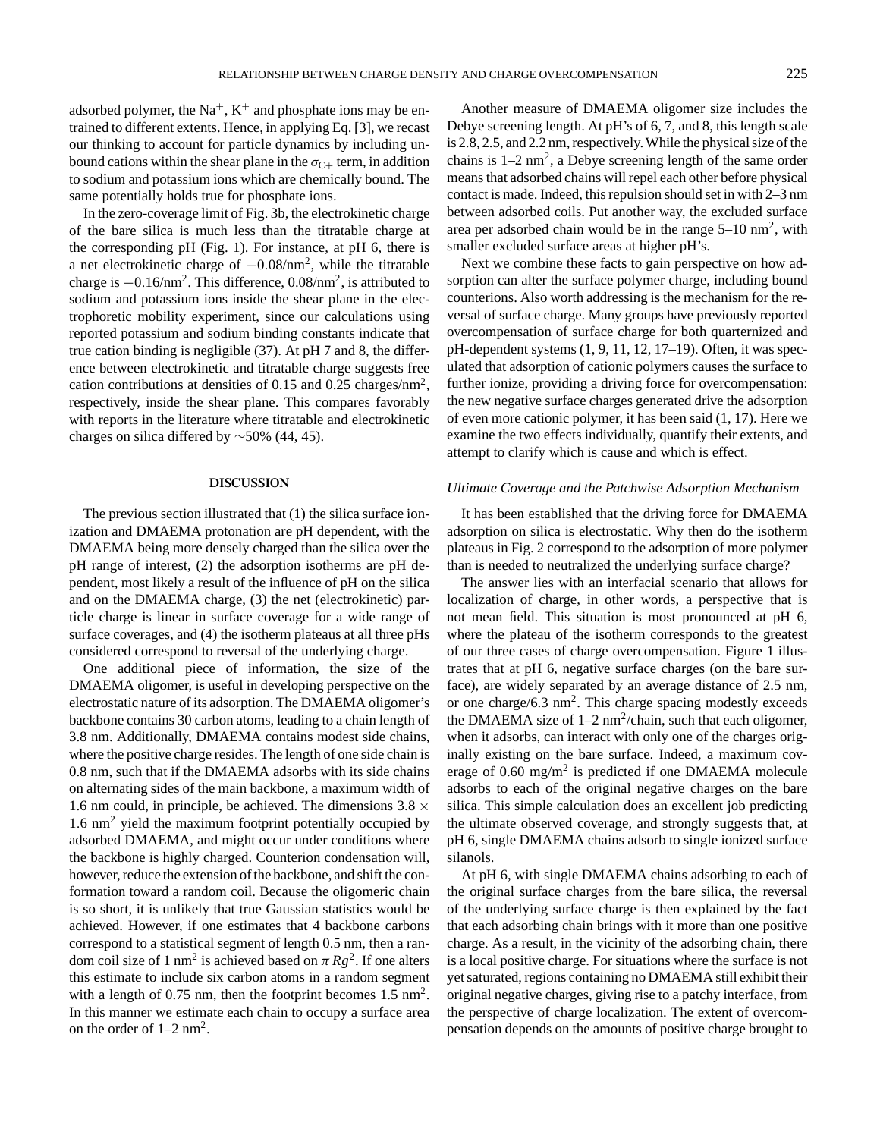adsorbed polymer, the  $Na^+$ ,  $K^+$  and phosphate ions may be entrained to different extents. Hence, in applying Eq. [3], we recast our thinking to account for particle dynamics by including unbound cations within the shear plane in the  $\sigma_{C+}$  term, in addition to sodium and potassium ions which are chemically bound. The same potentially holds true for phosphate ions.

In the zero-coverage limit of Fig. 3b, the electrokinetic charge of the bare silica is much less than the titratable charge at the corresponding pH (Fig. 1). For instance, at pH 6, there is a net electrokinetic charge of <sup>−</sup>0.08/nm2, while the titratable charge is  $-0.16/\text{nm}^2$ . This difference,  $0.08/\text{nm}^2$ , is attributed to sodium and potassium ions inside the shear plane in the electrophoretic mobility experiment, since our calculations using reported potassium and sodium binding constants indicate that true cation binding is negligible (37). At pH 7 and 8, the difference between electrokinetic and titratable charge suggests free cation contributions at densities of  $0.15$  and  $0.25$  charges/nm<sup>2</sup>, respectively, inside the shear plane. This compares favorably with reports in the literature where titratable and electrokinetic charges on silica differed by ∼50% (44, 45).

#### **DISCUSSION**

The previous section illustrated that (1) the silica surface ionization and DMAEMA protonation are pH dependent, with the DMAEMA being more densely charged than the silica over the pH range of interest, (2) the adsorption isotherms are pH dependent, most likely a result of the influence of pH on the silica and on the DMAEMA charge, (3) the net (electrokinetic) particle charge is linear in surface coverage for a wide range of surface coverages, and (4) the isotherm plateaus at all three pHs considered correspond to reversal of the underlying charge.

One additional piece of information, the size of the DMAEMA oligomer, is useful in developing perspective on the electrostatic nature of its adsorption. The DMAEMA oligomer's backbone contains 30 carbon atoms, leading to a chain length of 3.8 nm. Additionally, DMAEMA contains modest side chains, where the positive charge resides. The length of one side chain is 0.8 nm, such that if the DMAEMA adsorbs with its side chains on alternating sides of the main backbone, a maximum width of 1.6 nm could, in principle, be achieved. The dimensions  $3.8 \times$ 1.6 nm2 yield the maximum footprint potentially occupied by adsorbed DMAEMA, and might occur under conditions where the backbone is highly charged. Counterion condensation will, however, reduce the extension of the backbone, and shift the conformation toward a random coil. Because the oligomeric chain is so short, it is unlikely that true Gaussian statistics would be achieved. However, if one estimates that 4 backbone carbons correspond to a statistical segment of length 0.5 nm, then a random coil size of 1 nm<sup>2</sup> is achieved based on  $\pi Rg^2$ . If one alters this estimate to include six carbon atoms in a random segment with a length of  $0.75$  nm, then the footprint becomes  $1.5$  nm<sup>2</sup>. In this manner we estimate each chain to occupy a surface area on the order of  $1-2$  nm<sup>2</sup>.

Another measure of DMAEMA oligomer size includes the Debye screening length. At pH's of 6, 7, and 8, this length scale is 2.8, 2.5, and 2.2 nm, respectively. While the physical size of the chains is  $1-2$  nm<sup>2</sup>, a Debye screening length of the same order means that adsorbed chains will repel each other before physical contact is made. Indeed, this repulsion should set in with 2–3 nm between adsorbed coils. Put another way, the excluded surface area per adsorbed chain would be in the range  $5-10 \text{ nm}^2$ , with smaller excluded surface areas at higher pH's.

Next we combine these facts to gain perspective on how adsorption can alter the surface polymer charge, including bound counterions. Also worth addressing is the mechanism for the reversal of surface charge. Many groups have previously reported overcompensation of surface charge for both quarternized and pH-dependent systems (1, 9, 11, 12, 17–19). Often, it was speculated that adsorption of cationic polymers causes the surface to further ionize, providing a driving force for overcompensation: the new negative surface charges generated drive the adsorption of even more cationic polymer, it has been said (1, 17). Here we examine the two effects individually, quantify their extents, and attempt to clarify which is cause and which is effect.

## *Ultimate Coverage and the Patchwise Adsorption Mechanism*

It has been established that the driving force for DMAEMA adsorption on silica is electrostatic. Why then do the isotherm plateaus in Fig. 2 correspond to the adsorption of more polymer than is needed to neutralized the underlying surface charge?

The answer lies with an interfacial scenario that allows for localization of charge, in other words, a perspective that is not mean field. This situation is most pronounced at pH 6, where the plateau of the isotherm corresponds to the greatest of our three cases of charge overcompensation. Figure 1 illustrates that at pH 6, negative surface charges (on the bare surface), are widely separated by an average distance of 2.5 nm, or one charge/6.3 nm<sup>2</sup>. This charge spacing modestly exceeds the DMAEMA size of  $1-2$  nm<sup>2</sup>/chain, such that each oligomer, when it adsorbs, can interact with only one of the charges originally existing on the bare surface. Indeed, a maximum coverage of 0.60 mg/m<sup>2</sup> is predicted if one DMAEMA molecule adsorbs to each of the original negative charges on the bare silica. This simple calculation does an excellent job predicting the ultimate observed coverage, and strongly suggests that, at pH 6, single DMAEMA chains adsorb to single ionized surface silanols.

At pH 6, with single DMAEMA chains adsorbing to each of the original surface charges from the bare silica, the reversal of the underlying surface charge is then explained by the fact that each adsorbing chain brings with it more than one positive charge. As a result, in the vicinity of the adsorbing chain, there is a local positive charge. For situations where the surface is not yet saturated, regions containing no DMAEMA still exhibit their original negative charges, giving rise to a patchy interface, from the perspective of charge localization. The extent of overcompensation depends on the amounts of positive charge brought to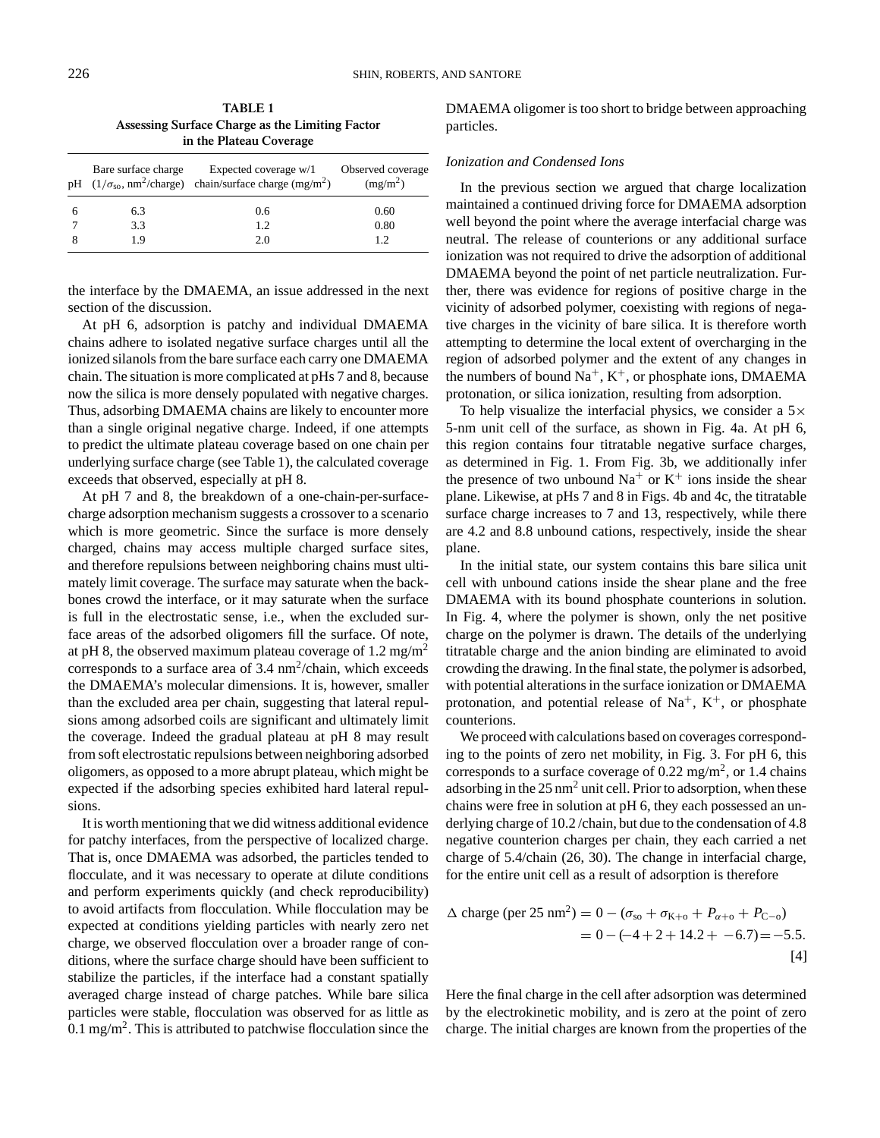| In the I fattau Coverage |                     |                                                                                                                 |                                           |  |  |  |
|--------------------------|---------------------|-----------------------------------------------------------------------------------------------------------------|-------------------------------------------|--|--|--|
|                          | Bare surface charge | Expected coverage w/1<br>pH $(1/\sigma_{so}, \text{nm}^2/\text{charge})$ chain/surface charge $(\text{mg/m}^2)$ | Observed coverage<br>(mg/m <sup>2</sup> ) |  |  |  |
| 6                        | 6.3                 | 0.6                                                                                                             | 0.60                                      |  |  |  |
|                          | 3.3                 | 1.2                                                                                                             | 0.80                                      |  |  |  |
|                          | 19                  | 2.0                                                                                                             | 12                                        |  |  |  |

**TABLE 1 Assessing Surface Charge as the Limiting Factor in the Plateau Coverage**

the interface by the DMAEMA, an issue addressed in the next section of the discussion.

At pH 6, adsorption is patchy and individual DMAEMA chains adhere to isolated negative surface charges until all the ionized silanols from the bare surface each carry one DMAEMA chain. The situation is more complicated at pHs 7 and 8, because now the silica is more densely populated with negative charges. Thus, adsorbing DMAEMA chains are likely to encounter more than a single original negative charge. Indeed, if one attempts to predict the ultimate plateau coverage based on one chain per underlying surface charge (see Table 1), the calculated coverage exceeds that observed, especially at pH 8.

At pH 7 and 8, the breakdown of a one-chain-per-surfacecharge adsorption mechanism suggests a crossover to a scenario which is more geometric. Since the surface is more densely charged, chains may access multiple charged surface sites, and therefore repulsions between neighboring chains must ultimately limit coverage. The surface may saturate when the backbones crowd the interface, or it may saturate when the surface is full in the electrostatic sense, i.e., when the excluded surface areas of the adsorbed oligomers fill the surface. Of note, at pH 8, the observed maximum plateau coverage of  $1.2 \text{ mg/m}^2$ corresponds to a surface area of  $3.4 \text{ nm}^2/\text{chain}$ , which exceeds the DMAEMA's molecular dimensions. It is, however, smaller than the excluded area per chain, suggesting that lateral repulsions among adsorbed coils are significant and ultimately limit the coverage. Indeed the gradual plateau at pH 8 may result from soft electrostatic repulsions between neighboring adsorbed oligomers, as opposed to a more abrupt plateau, which might be expected if the adsorbing species exhibited hard lateral repulsions.

It is worth mentioning that we did witness additional evidence for patchy interfaces, from the perspective of localized charge. That is, once DMAEMA was adsorbed, the particles tended to flocculate, and it was necessary to operate at dilute conditions and perform experiments quickly (and check reproducibility) to avoid artifacts from flocculation. While flocculation may be expected at conditions yielding particles with nearly zero net charge, we observed flocculation over a broader range of conditions, where the surface charge should have been sufficient to stabilize the particles, if the interface had a constant spatially averaged charge instead of charge patches. While bare silica particles were stable, flocculation was observed for as little as  $0.1 \text{ mg/m}^2$ . This is attributed to patchwise flocculation since the

DMAEMA oligomer is too short to bridge between approaching particles.

### *Ionization and Condensed Ions*

In the previous section we argued that charge localization maintained a continued driving force for DMAEMA adsorption well beyond the point where the average interfacial charge was neutral. The release of counterions or any additional surface ionization was not required to drive the adsorption of additional DMAEMA beyond the point of net particle neutralization. Further, there was evidence for regions of positive charge in the vicinity of adsorbed polymer, coexisting with regions of negative charges in the vicinity of bare silica. It is therefore worth attempting to determine the local extent of overcharging in the region of adsorbed polymer and the extent of any changes in the numbers of bound  $\text{Na}^+$ , K<sup>+</sup>, or phosphate ions, DMAEMA protonation, or silica ionization, resulting from adsorption.

To help visualize the interfacial physics, we consider a  $5\times$ 5-nm unit cell of the surface, as shown in Fig. 4a. At pH 6, this region contains four titratable negative surface charges, as determined in Fig. 1. From Fig. 3b, we additionally infer the presence of two unbound  $Na<sup>+</sup>$  or  $K<sup>+</sup>$  ions inside the shear plane. Likewise, at pHs 7 and 8 in Figs. 4b and 4c, the titratable surface charge increases to 7 and 13, respectively, while there are 4.2 and 8.8 unbound cations, respectively, inside the shear plane.

In the initial state, our system contains this bare silica unit cell with unbound cations inside the shear plane and the free DMAEMA with its bound phosphate counterions in solution. In Fig. 4, where the polymer is shown, only the net positive charge on the polymer is drawn. The details of the underlying titratable charge and the anion binding are eliminated to avoid crowding the drawing. In the final state, the polymer is adsorbed, with potential alterations in the surface ionization or DMAEMA protonation, and potential release of  $Na^+$ ,  $K^+$ , or phosphate counterions.

We proceed with calculations based on coverages corresponding to the points of zero net mobility, in Fig. 3. For pH 6, this corresponds to a surface coverage of  $0.22$  mg/m<sup>2</sup>, or 1.4 chains adsorbing in the 25 nm<sup>2</sup> unit cell. Prior to adsorption, when these chains were free in solution at pH 6, they each possessed an underlying charge of 10.2/chain, but due to the condensation of 4.8 negative counterion charges per chain, they each carried a net charge of 5.4/chain (26, 30). The change in interfacial charge, for the entire unit cell as a result of adsorption is therefore

$$
\Delta \text{ charge (per 25 nm}^2) = 0 - (\sigma_{so} + \sigma_{K+o} + P_{\alpha+o} + P_{C-o})
$$
  
= 0 - (-4 + 2 + 14.2 + -6.7) = -5.5. [4]

Here the final charge in the cell after adsorption was determined by the electrokinetic mobility, and is zero at the point of zero charge. The initial charges are known from the properties of the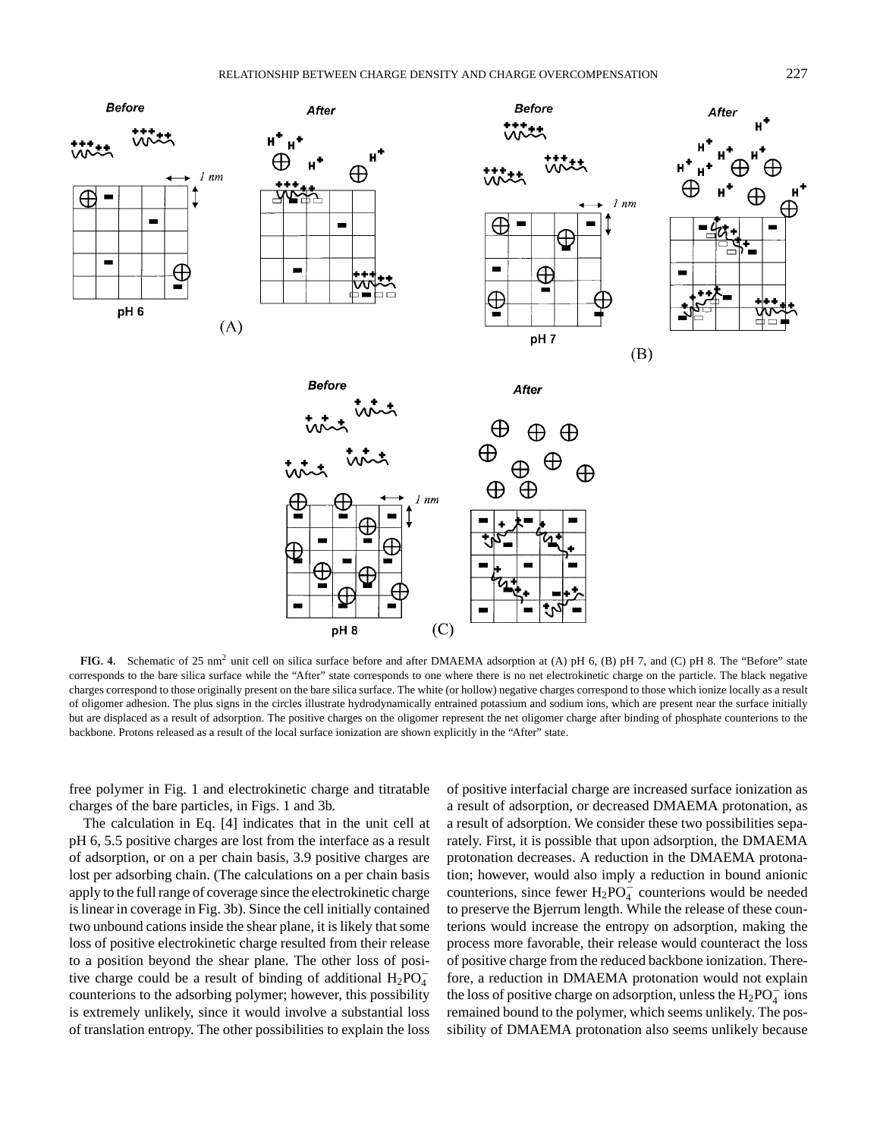

**FIG. 4.** Schematic of 25 nm<sup>2</sup> unit cell on silica surface before and after DMAEMA adsorption at (A) pH 6, (B) pH 7, and (C) pH 8. The "Before" state corresponds to the bare silica surface while the "After" state corresponds to one where there is no net electrokinetic charge on the particle. The black negative charges correspond to those originally present on the bare silica surface. The white (or hollow) negative charges correspond to those which ionize locally as a result of oligomer adhesion. The plus signs in the circles illustrate hydrodynamically entrained potassium and sodium ions, which are present near the surface initially but are displaced as a result of adsorption. The positive charges on the oligomer represent the net oligomer charge after binding of phosphate counterions to the backbone. Protons released as a result of the local surface ionization are shown explicitly in the "After" state.

free polymer in Fig. 1 and electrokinetic charge and titratable charges of the bare particles, in Figs. 1 and 3b.

The calculation in Eq. [4] indicates that in the unit cell at pH 6, 5.5 positive charges are lost from the interface as a result of adsorption, or on a per chain basis, 3.9 positive charges are lost per adsorbing chain. (The calculations on a per chain basis apply to the full range of coverage since the electrokinetic charge is linear in coverage in Fig. 3b). Since the cell initially contained two unbound cations inside the shear plane, it is likely that some loss of positive electrokinetic charge resulted from their release to a position beyond the shear plane. The other loss of positive charge could be a result of binding of additional  $H_2PO_4^$ counterions to the adsorbing polymer; however, this possibility is extremely unlikely, since it would involve a substantial loss of translation entropy. The other possibilities to explain the loss

of positive interfacial charge are increased surface ionization as a result of adsorption, or decreased DMAEMA protonation, as a result of adsorption. We consider these two possibilities separately. First, it is possible that upon adsorption, the DMAEMA protonation decreases. A reduction in the DMAEMA protonation; however, would also imply a reduction in bound anionic counterions, since fewer  $H_2PO_4^-$  counterions would be needed to preserve the Bjerrum length. While the release of these counterions would increase the entropy on adsorption, making the process more favorable, their release would counteract the loss of positive charge from the reduced backbone ionization. Therefore, a reduction in DMAEMA protonation would not explain the loss of positive charge on adsorption, unless the  $H_2PO_4^-$  ions remained bound to the polymer, which seems unlikely. The possibility of DMAEMA protonation also seems unlikely because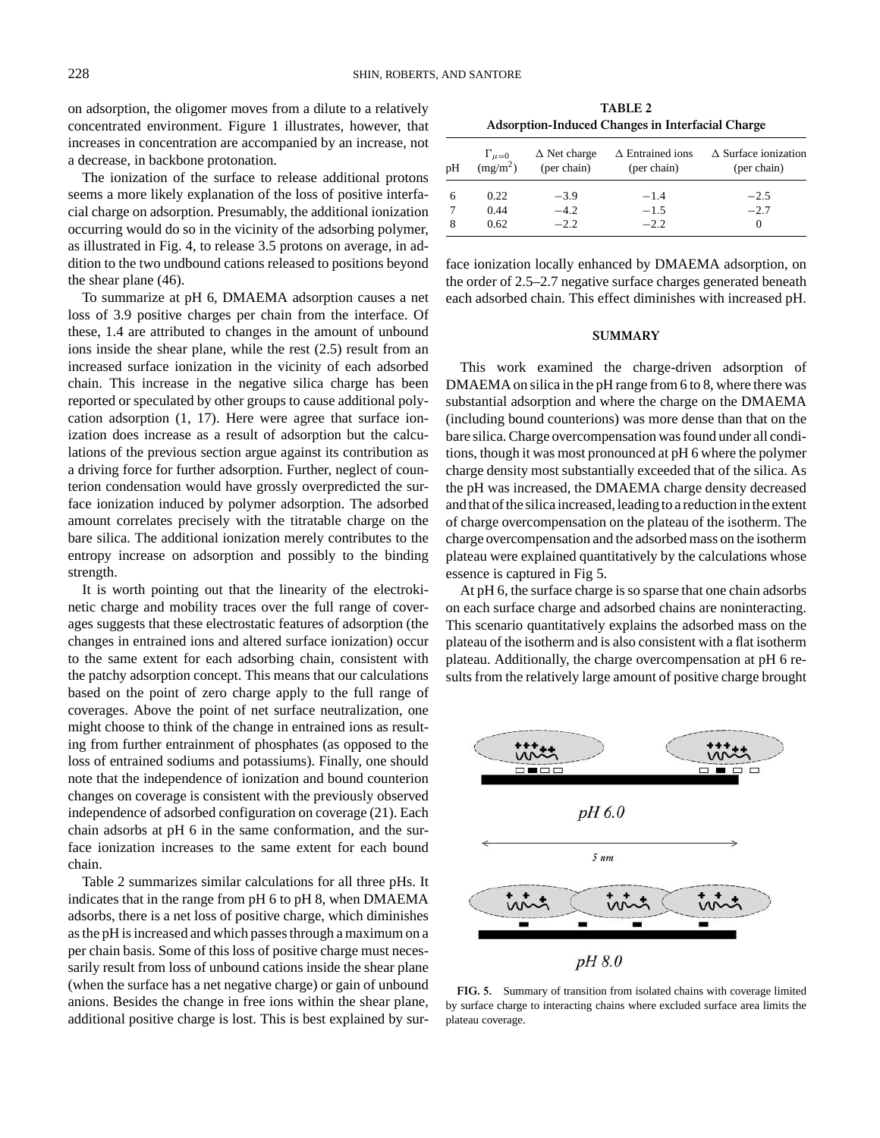on adsorption, the oligomer moves from a dilute to a relatively concentrated environment. Figure 1 illustrates, however, that increases in concentration are accompanied by an increase, not a decrease, in backbone protonation.

The ionization of the surface to release additional protons seems a more likely explanation of the loss of positive interfacial charge on adsorption. Presumably, the additional ionization occurring would do so in the vicinity of the adsorbing polymer, as illustrated in Fig. 4, to release 3.5 protons on average, in addition to the two undbound cations released to positions beyond the shear plane (46).

To summarize at pH 6, DMAEMA adsorption causes a net loss of 3.9 positive charges per chain from the interface. Of these, 1.4 are attributed to changes in the amount of unbound ions inside the shear plane, while the rest (2.5) result from an increased surface ionization in the vicinity of each adsorbed chain. This increase in the negative silica charge has been reported or speculated by other groups to cause additional polycation adsorption (1, 17). Here were agree that surface ionization does increase as a result of adsorption but the calculations of the previous section argue against its contribution as a driving force for further adsorption. Further, neglect of counterion condensation would have grossly overpredicted the surface ionization induced by polymer adsorption. The adsorbed amount correlates precisely with the titratable charge on the bare silica. The additional ionization merely contributes to the entropy increase on adsorption and possibly to the binding strength.

It is worth pointing out that the linearity of the electrokinetic charge and mobility traces over the full range of coverages suggests that these electrostatic features of adsorption (the changes in entrained ions and altered surface ionization) occur to the same extent for each adsorbing chain, consistent with the patchy adsorption concept. This means that our calculations based on the point of zero charge apply to the full range of coverages. Above the point of net surface neutralization, one might choose to think of the change in entrained ions as resulting from further entrainment of phosphates (as opposed to the loss of entrained sodiums and potassiums). Finally, one should note that the independence of ionization and bound counterion changes on coverage is consistent with the previously observed independence of adsorbed configuration on coverage (21). Each chain adsorbs at pH 6 in the same conformation, and the surface ionization increases to the same extent for each bound chain.

Table 2 summarizes similar calculations for all three pHs. It indicates that in the range from pH 6 to pH 8, when DMAEMA adsorbs, there is a net loss of positive charge, which diminishes as the pH is increased and which passes through a maximum on a per chain basis. Some of this loss of positive charge must necessarily result from loss of unbound cations inside the shear plane (when the surface has a net negative charge) or gain of unbound anions. Besides the change in free ions within the shear plane, additional positive charge is lost. This is best explained by sur-

**TABLE 2 Adsorption-Induced Changes in Interfacial Charge**

| pH | $\Gamma_{\mu=0}$<br>(mg/m <sup>2</sup> ) | $\Delta$ Net charge<br>(per chain) | $\triangle$ Entrained ions<br>(per chain) | $\triangle$ Surface ionization<br>(per chain) |
|----|------------------------------------------|------------------------------------|-------------------------------------------|-----------------------------------------------|
| 6  | 0.22                                     | $-3.9$                             | $-1.4$                                    | $-2.5$                                        |
|    | 0.44                                     | $-4.2$                             | $-1.5$                                    | $-2.7$                                        |
|    | 0.62                                     | $-22$                              | $-2.2$                                    | $_{0}$                                        |

face ionization locally enhanced by DMAEMA adsorption, on the order of 2.5–2.7 negative surface charges generated beneath each adsorbed chain. This effect diminishes with increased pH.

#### **SUMMARY**

This work examined the charge-driven adsorption of DMAEMA on silica in the pH range from 6 to 8, where there was substantial adsorption and where the charge on the DMAEMA (including bound counterions) was more dense than that on the bare silica. Charge overcompensation was found under all conditions, though it was most pronounced at pH 6 where the polymer charge density most substantially exceeded that of the silica. As the pH was increased, the DMAEMA charge density decreased and that of the silica increased, leading to a reduction in the extent of charge overcompensation on the plateau of the isotherm. The charge overcompensation and the adsorbed mass on the isotherm plateau were explained quantitatively by the calculations whose essence is captured in Fig 5.

At pH 6, the surface charge is so sparse that one chain adsorbs on each surface charge and adsorbed chains are noninteracting. This scenario quantitatively explains the adsorbed mass on the plateau of the isotherm and is also consistent with a flat isotherm plateau. Additionally, the charge overcompensation at pH 6 results from the relatively large amount of positive charge brought

 $\Box$   $\blacksquare$   $\blacksquare$ pH 6.0  $5 \, nm$ pH 8.0

**FIG. 5.** Summary of transition from isolated chains with coverage limited by surface charge to interacting chains where excluded surface area limits the plateau coverage.

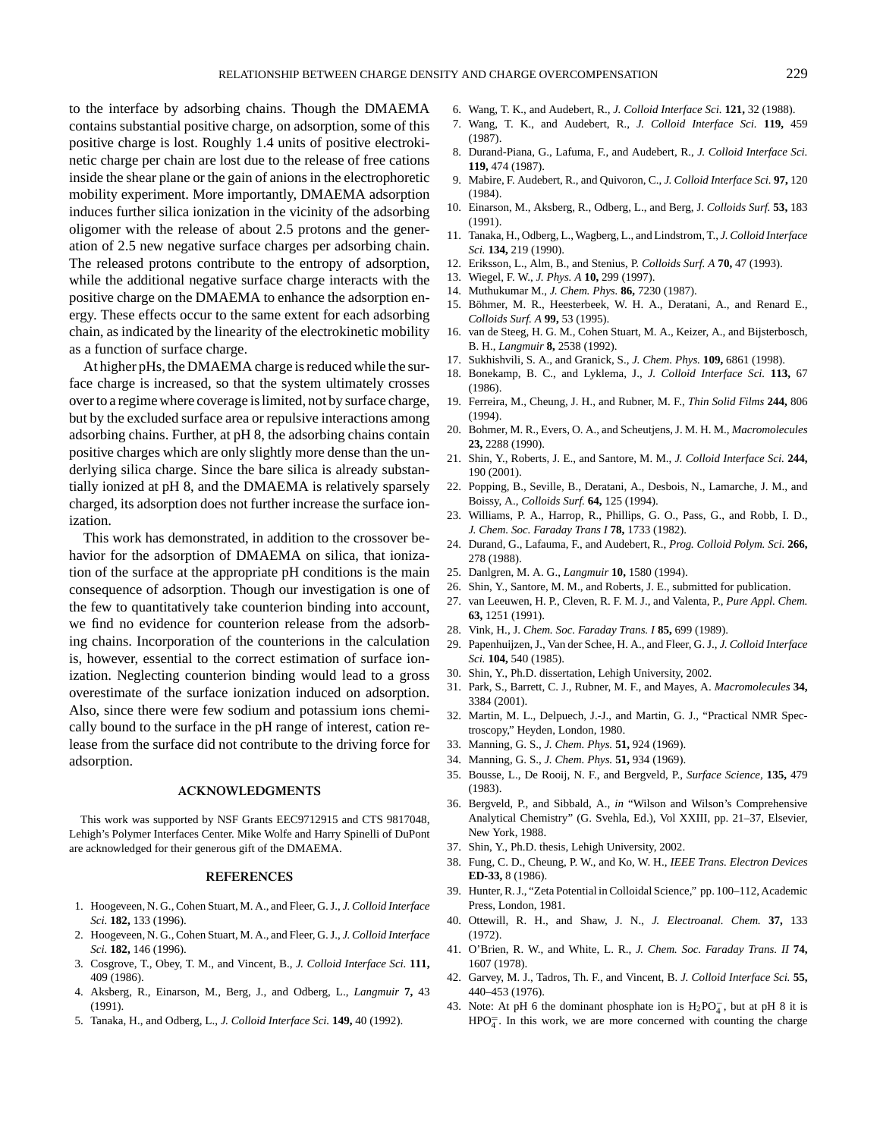to the interface by adsorbing chains. Though the DMAEMA contains substantial positive charge, on adsorption, some of this positive charge is lost. Roughly 1.4 units of positive electrokinetic charge per chain are lost due to the release of free cations inside the shear plane or the gain of anions in the electrophoretic mobility experiment. More importantly, DMAEMA adsorption induces further silica ionization in the vicinity of the adsorbing oligomer with the release of about 2.5 protons and the generation of 2.5 new negative surface charges per adsorbing chain. The released protons contribute to the entropy of adsorption, while the additional negative surface charge interacts with the positive charge on the DMAEMA to enhance the adsorption energy. These effects occur to the same extent for each adsorbing chain, as indicated by the linearity of the electrokinetic mobility as a function of surface charge.

At higher pHs, the DMAEMA charge is reduced while the surface charge is increased, so that the system ultimately crosses over to a regime where coverage is limited, not by surface charge, but by the excluded surface area or repulsive interactions among adsorbing chains. Further, at pH 8, the adsorbing chains contain positive charges which are only slightly more dense than the underlying silica charge. Since the bare silica is already substantially ionized at pH 8, and the DMAEMA is relatively sparsely charged, its adsorption does not further increase the surface ionization.

This work has demonstrated, in addition to the crossover behavior for the adsorption of DMAEMA on silica, that ionization of the surface at the appropriate pH conditions is the main consequence of adsorption. Though our investigation is one of the few to quantitatively take counterion binding into account, we find no evidence for counterion release from the adsorbing chains. Incorporation of the counterions in the calculation is, however, essential to the correct estimation of surface ionization. Neglecting counterion binding would lead to a gross overestimate of the surface ionization induced on adsorption. Also, since there were few sodium and potassium ions chemically bound to the surface in the pH range of interest, cation release from the surface did not contribute to the driving force for adsorption.

#### **ACKNOWLEDGMENTS**

This work was supported by NSF Grants EEC9712915 and CTS 9817048, Lehigh's Polymer Interfaces Center. Mike Wolfe and Harry Spinelli of DuPont are acknowledged for their generous gift of the DMAEMA.

### **REFERENCES**

- 1. Hoogeveen, N. G., Cohen Stuart, M. A., and Fleer, G. J., *J. Colloid Interface Sci.* **182,** 133 (1996).
- 2. Hoogeveen, N. G., Cohen Stuart, M. A., and Fleer, G. J., *J. Colloid Interface Sci.* **182,** 146 (1996).
- 3. Cosgrove, T., Obey, T. M., and Vincent, B., *J. Colloid Interface Sci.* **111,** 409 (1986).
- 4. Aksberg, R., Einarson, M., Berg, J., and Odberg, L., *Langmuir* **7,** 43 (1991).
- 5. Tanaka, H., and Odberg, L., *J. Colloid Interface Sci.* **149,** 40 (1992).
- 6. Wang, T. K., and Audebert, R., *J. Colloid Interface Sci.* **121,** 32 (1988).
- 7. Wang, T. K., and Audebert, R., *J. Colloid Interface Sci.* **119,** 459 (1987).
- 8. Durand-Piana, G., Lafuma, F., and Audebert, R., *J. Colloid Interface Sci.* **119,** 474 (1987).
- 9. Mabire, F. Audebert, R., and Quivoron, C., *J. Colloid Interface Sci.* **97,** 120 (1984).
- 10. Einarson, M., Aksberg, R., Odberg, L., and Berg, J. *Colloids Surf.* **53,** 183 (1991).
- 11. Tanaka, H., Odberg, L., Wagberg, L., and Lindstrom, T., *J. Colloid Interface Sci.* **134,** 219 (1990).
- 12. Eriksson, L., Alm, B., and Stenius, P. *Colloids Surf. A* **70,** 47 (1993).
- 13. Wiegel, F. W., *J. Phys. A* **10,** 299 (1997).
- 14. Muthukumar M., *J. Chem. Phys.* **86,** 7230 (1987).
- 15. Böhmer, M. R., Heesterbeek, W. H. A., Deratani, A., and Renard E., *Colloids Surf. A* **99,** 53 (1995).
- 16. van de Steeg, H. G. M., Cohen Stuart, M. A., Keizer, A., and Bijsterbosch, B. H., *Langmuir* **8,** 2538 (1992).
- 17. Sukhishvili, S. A., and Granick, S., *J. Chem. Phys.* **109,** 6861 (1998).
- 18. Bonekamp, B. C., and Lyklema, J., *J. Colloid Interface Sci.* **113,** 67 (1986).
- 19. Ferreira, M., Cheung, J. H., and Rubner, M. F., *Thin Solid Films* **244,** 806 (1994).
- 20. Bohmer, M. R., Evers, O. A., and Scheutjens, J. M. H. M., *Macromolecules* **23,** 2288 (1990).
- 21. Shin, Y., Roberts, J. E., and Santore, M. M., *J. Colloid Interface Sci.* **244,** 190 (2001).
- 22. Popping, B., Seville, B., Deratani, A., Desbois, N., Lamarche, J. M., and Boissy, A., *Colloids Surf.* **64,** 125 (1994).
- 23. Williams, P. A., Harrop, R., Phillips, G. O., Pass, G., and Robb, I. D., *J. Chem. Soc. Faraday Trans I* **78,** 1733 (1982).
- 24. Durand, G., Lafauma, F., and Audebert, R., *Prog. Colloid Polym. Sci.* **266,** 278 (1988).
- 25. Danlgren, M. A. G., *Langmuir* **10,** 1580 (1994).
- 26. Shin, Y., Santore, M. M., and Roberts, J. E., submitted for publication.
- 27. van Leeuwen, H. P., Cleven, R. F. M. J., and Valenta, P., *Pure Appl. Chem.* **63,** 1251 (1991).
- 28. Vink, H., J. *Chem. Soc. Faraday Trans. I* **85,** 699 (1989).
- 29. Papenhuijzen, J., Van der Schee, H. A., and Fleer, G. J., *J. Colloid Interface Sci.* **104,** 540 (1985).
- 30. Shin, Y., Ph.D. dissertation, Lehigh University, 2002.
- 31. Park, S., Barrett, C. J., Rubner, M. F., and Mayes, A. *Macromolecules* **34,** 3384 (2001).
- 32. Martin, M. L., Delpuech, J.-J., and Martin, G. J., "Practical NMR Spectroscopy," Heyden, London, 1980.
- 33. Manning, G. S., *J. Chem. Phys.* **51,** 924 (1969).
- 34. Manning, G. S., *J. Chem. Phys.* **51,** 934 (1969).
- 35. Bousse, L., De Rooij, N. F., and Bergveld, P., *Surface Science,* **135,** 479 (1983).
- 36. Bergveld, P., and Sibbald, A., *in* "Wilson and Wilson's Comprehensive Analytical Chemistry" (G. Svehla, Ed.), Vol XXIII, pp. 21–37, Elsevier, New York, 1988.
- 37. Shin, Y., Ph.D. thesis, Lehigh University, 2002.
- 38. Fung, C. D., Cheung, P. W., and Ko, W. H., *IEEE Trans. Electron Devices* **ED-33,** 8 (1986).
- 39. Hunter, R. J., "Zeta Potential in Colloidal Science," pp. 100–112, Academic Press, London, 1981.
- 40. Ottewill, R. H., and Shaw, J. N., *J. Electroanal. Chem.* **37,** 133 (1972).
- 41. O'Brien, R. W., and White, L. R., *J. Chem. Soc. Faraday Trans. II* **74,** 1607 (1978).
- 42. Garvey, M. J., Tadros, Th. F., and Vincent, B. *J. Colloid Interface Sci.* **55,** 440–453 (1976).
- 43. Note: At pH 6 the dominant phosphate ion is  $H_2PO_4^-$ , but at pH 8 it is  $HPO<sub>4</sub><sup>+</sup>$ . In this work, we are more concerned with counting the charge